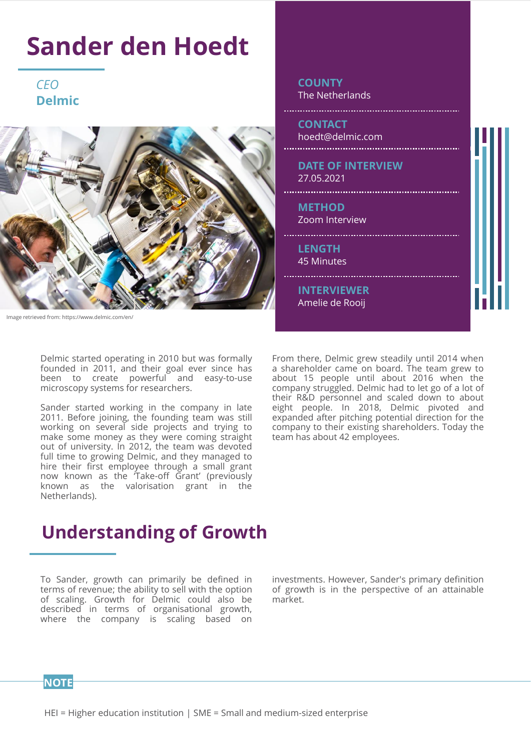## **Sander den Hoedt**

**Delmic** *CEO* 



Image retrieved from: https://www.delmic.com/en/

Delmic started operating in 2010 but was formally founded in 2011, and their goal ever since has been to create powerful and easy-to-use microscopy systems for researchers.

Sander started working in the company in late 2011. Before joining, the founding team was still working on several side projects and trying to make some money as they were coming straight out of university. In 2012, the team was devoted full time to growing Delmic, and they managed to hire their first employee through a small grant now known as the 'Take-off Grant' (previously known as the valorisation grant in the Netherlands).

From there, Delmic grew steadily until 2014 when a shareholder came on board. The team grew to about 15 people until about 2016 when the company struggled. Delmic had to let go of a lot of their R&D personnel and scaled down to about eight people. In 2018, Delmic pivoted and expanded after pitching potential direction for the company to their existing shareholders. Today the team has about 42 employees.

**LENGTH** 45 Minutes

**METHOD** Zoom Interview

27.05.2021

.................

**CONTACT**

**COUNTY**

hoedt@delmic.com

The Netherlands

**DATE OF INTERVIEW**

**INTERVIEWER** Amelie de Rooij

#### **Understanding of Growth**

To Sander, growth can primarily be defined in terms of revenue; the ability to sell with the option of scaling. Growth for Delmic could also be described in terms of organisational growth, where the company is scaling based on

investments. However, Sander's primary definition of growth is in the perspective of an attainable market.

#### **NOTE**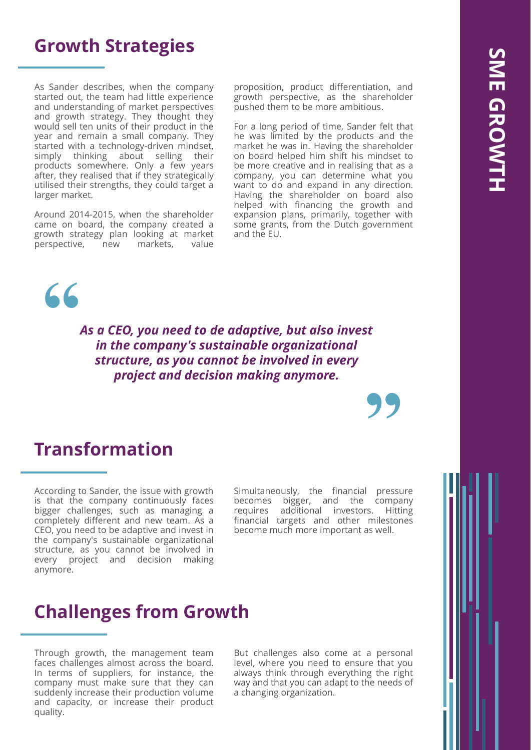#### **Growth Strategies**

As Sander describes, when the company started out, the team had little experience and understanding of market perspectives and growth strategy. They thought they would sell ten units of their product in the year and remain a small company. They started with a technology-driven mindset,<br>simply thinking about selling their thinking about selling their products somewhere. Only a few years after, they realised that if they strategically utilised their strengths, they could target a larger market.

Around 2014-2015, when the shareholder came on board, the company created a growth strategy plan looking at market perspective, new markets, value

proposition, product differentiation, and growth perspective, as the shareholder pushed them to be more ambitious.

For a long period of time, Sander felt that he was limited by the products and the market he was in. Having the shareholder on board helped him shift his mindset to be more creative and in realising that as a company, you can determine what you want to do and expand in any direction. Having the shareholder on board also helped with financing the growth and expansion plans, primarily, together with some grants, from the Dutch government and the EU.



*As a CEO, you need to de adaptive, but also invest in the company's sustainable organizational structure, as you cannot be involved in every project and decision making anymore.*

#### **Transformation**

According to Sander, the issue with growth is that the company continuously faces bigger challenges, such as managing a completely different and new team. As a CEO, you need to be adaptive and invest in the company's sustainable organizational structure, as you cannot be involved in every project and decision making anymore.

Simultaneously, the financial pressure becomes bigger, and the company requires additional investors. Hitting financial targets and other milestones become much more important as well.

**"**

#### **Challenges from Growth**

Through growth, the management team faces challenges almost across the board. In terms of suppliers, for instance, the company must make sure that they can suddenly increase their production volume and capacity, or increase their product quality.

But challenges also come at a personal level, where you need to ensure that you always think through everything the right way and that you can adapt to the needs of a changing organization.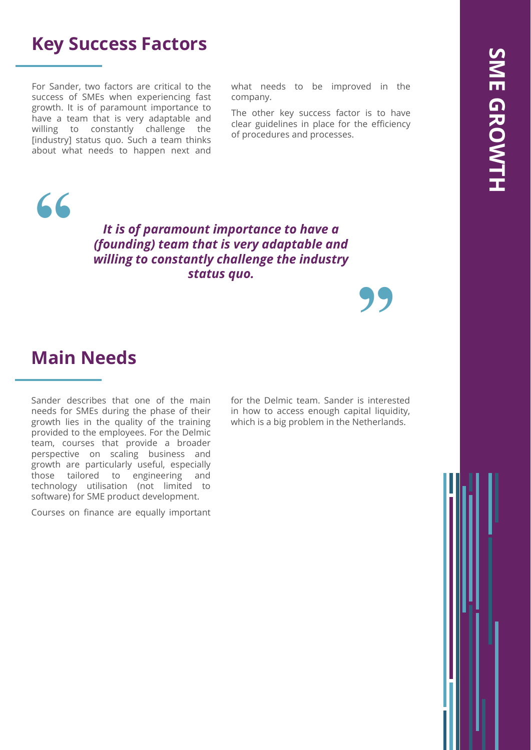#### **Key Success Factors**

For Sander, two factors are critical to the success of SMEs when experiencing fast growth. It is of paramount importance to have a team that is very adaptable and willing to constantly challenge the [industry] status quo. Such a team thinks about what needs to happen next and what needs to be improved in the company.

The other key success factor is to have clear guidelines in place for the efficiency of procedures and processes.



*It is of paramount importance to have a (founding) team that is very adaptable and willing to constantly challenge the industry status quo.* 

**Main Needs**

Sander describes that one of the main needs for SMEs during the phase of their growth lies in the quality of the training provided to the employees. For the Delmic team, courses that provide a broader perspective on scaling business and growth are particularly useful, especially those tailored to engineering and technology utilisation (not limited to software) for SME product development.

Courses on finance are equally important

for the Delmic team. Sander is interested in how to access enough capital liquidity, which is a big problem in the Netherlands.

**"**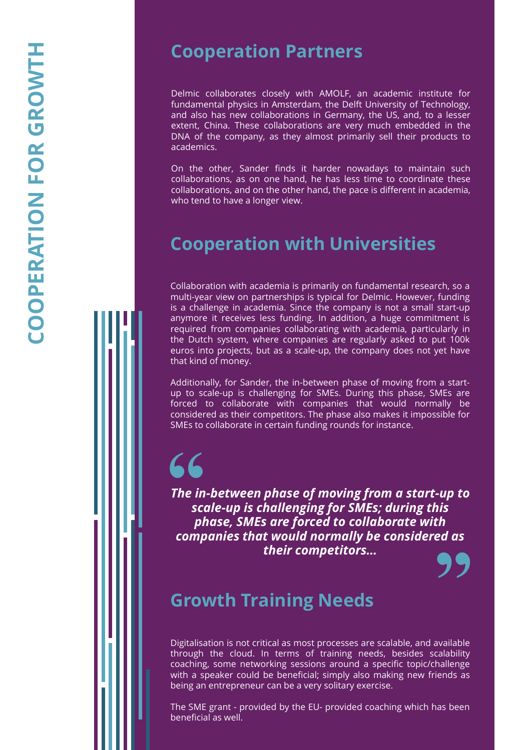#### **Cooperation Partners**

Delmic collaborates closely with AMOLF, an academic institute for fundamental physics in Amsterdam, the Delft University of Technology, and also has new collaborations in Germany, the US, and, to a lesser extent, China . These collaborations are very much embedded in the DNA of the company, as they almost primarily sell their products to academics .

On the other, Sander finds it harder nowadays to maintain such collaborations, as on one hand, he has less time to coordinate these collaborations, and on the other hand, the pace is different in academia, who tend to have a longer view .

#### **Cooperation with Universities**

Collaboration with academia is primarily on fundamental research, so a multi -year view on partnerships is typical for Delmic . However, funding is a challenge in academia . Since the company is not a small start -up anymore it receives less funding . In addition, a huge commitment is required from companies collaborating with academia, particularly in the Dutch system, where companies are regularly asked to put 100 k euros into projects, but as a scale -up, the company does not yet have that kind of money .

Additionally, for Sander, the in -between phase of moving from a start up to scale -up is challenging for SMEs . During this phase, SMEs are forced to collaborate with companies that would normally be considered as their competitors . The phase also makes it impossible for SMEs to collaborate in certain funding rounds for instance .

# **"**

*The in -between phase of moving from a start -up to scale -up is challenging for SMEs; during this phase, SMEs are forced to collaborate with companies that would normally be considered as their competitors…*

**"**

#### **Growth Training Needs**

Digitalisation is not critical as most processes are scalable, and available through the cloud . In terms of training needs, besides scalability coaching, some networking sessions around a specific topic/challenge with a speaker could be beneficial ; simply also making new friends as being an entrepreneur can be a very solitary exercise .

The SME grant - provided by the EU - provided coaching which has been beneficial as well .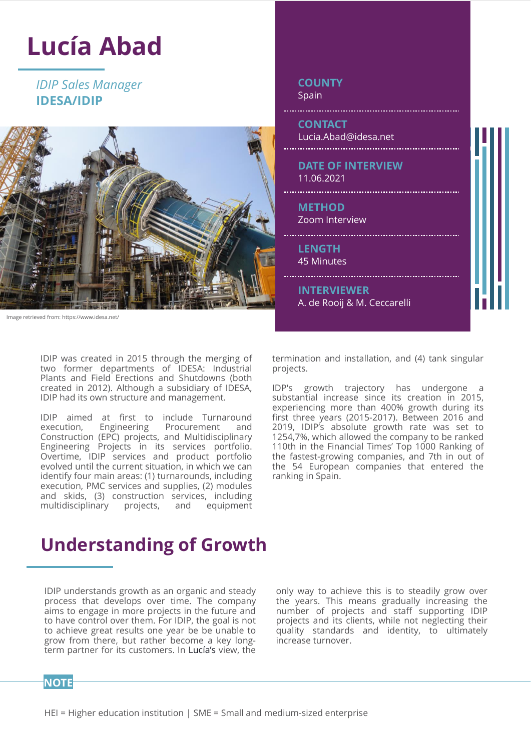## **Lucía Abad**

**IDESA/IDIP** *IDIP Sales Manager* 



Image retrieved from: https://www.idesa.net/

IDIP was created in 2015 through the merging of two former departments of IDESA: Industrial Plants and Field Erections and Shutdowns (both created in 2012). Although a subsidiary of IDESA, IDIP had its own structure and management.

IDIP aimed at first to include Turnaround execution, Engineering Procurement and Construction (EPC) projects, and Multidisciplinary Engineering Projects in its services portfolio. Overtime, IDIP services and product portfolio evolved until the current situation, in which we can identify four main areas: (1) turnarounds, including execution, PMC services and supplies, (2) modules and skids, (3) construction services, including<br>multidisciplinary projects, and equipment multidisciplinary projects, and

#### Spain **CONTACT** Lucia.Abad@idesa.net **DATE OF INTERVIEW** 11.06.2021 **METHOD** Zoom Interview **LENGTH** 45 Minutes **INTERVIEWER** A. de Rooij & M. Ceccarelli

**COUNTY**

termination and installation, and (4) tank singular projects.

IDP's growth trajectory has undergone a substantial increase since its creation in 2015, experiencing more than 400% growth during its first three years (2015-2017). Between 2016 and 2019, IDIP's absolute growth rate was set to 1254,7%, which allowed the company to be ranked 110th in the Financial Times' Top 1000 Ranking of the fastest-growing companies, and 7th in out of the 54 European companies that entered the ranking in Spain.

#### **Understanding of Growth**

IDIP understands growth as an organic and steady process that develops over time. The company aims to engage in more projects in the future and to have control over them. For IDIP, the goal is not to achieve great results one year be be unable to grow from there, but rather become a key longterm partner for its customers. In Lucía's view, the

only way to achieve this is to steadily grow over the years. This means gradually increasing the number of projects and staff supporting IDIP projects and its clients, while not neglecting their quality standards and identity, to ultimately increase turnover.

#### **NOTE**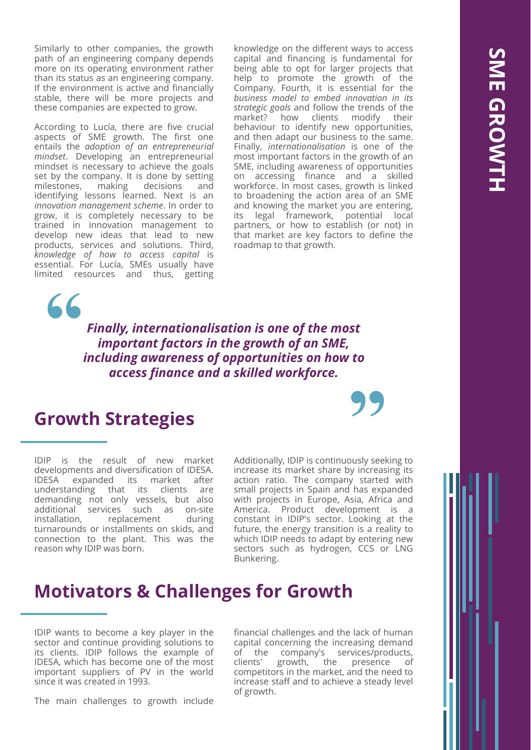Similarly to other companies, the growth path of an engineering company depends more on its operating environment rather than its status as an engineering company. If the environment is active and financially stable, there will be more projects and these companies are expected to grow.

According to Lucía, there are five crucial aspects of SME growth. The first one entails the *adoption of an entrepreneurial mindset*. Developing an entrepreneurial mindset is necessary to achieve the goals set by the company. It is done by setting milestones, making decisions and identifying lessons learned. Next is an *innovation management scheme*. In order to grow, it is completely necessary to be trained in innovation management to develop new ideas that lead to new products, services and solutions. Third, *knowledge of how to access capital* is essential. For Lucía, SMEs usually have limited resources and thus, getting

knowledge on the different ways to access capital and financing is fundamental for being able to opt for larger projects that help to promote the growth of the Company. Fourth, it is essential for the *business model to embed innovation in its strategic goals* and follow the trends of the market? how clients modify their behaviour to identify new opportunities, and then adapt our business to the same. Finally, *internationalisation* is one of the most important factors in the growth of an SME, including awareness of opportunities on accessing finance and a skilled workforce. In most cases, growth is linked to broadening the action area of an SME and knowing the market you are entering, its legal framework, potential local partners, or how to establish (or not) in that market are key factors to define the roadmap to that growth.

*Finally, internationalisation is one of the most important factors in the growth of an SME, including awareness of opportunities on how to access finance and a skilled workforce.* 

#### **Growth Strategies**

**"**

IDIP is the result of new market developments and diversification of IDESA. IDESA expanded its market after understanding that its clients are demanding not only vessels, but also additional services such as on-site installation, replacement during turnarounds or installments on skids, and connection to the plant. This was the reason why IDIP was born.

Additionally, IDIP is continuously seeking to increase its market share by increasing its action ratio. The company started with small projects in Spain and has expanded with projects in Europe, Asia, Africa and America. Product development is a constant in IDIP's sector. Looking at the future, the energy transition is a reality to which IDIP needs to adapt by entering new sectors such as hydrogen, CCS or LNG Bunkering. **"**

#### **Motivators & Challenges for Growth**

IDIP wants to become a key player in the sector and continue providing solutions to its clients. IDIP follows the example of IDESA, which has become one of the most important suppliers of PV in the world since it was created in 1993.

The main challenges to growth include

financial challenges and the lack of human capital concerning the increasing demand of the company's services/products, clients' growth, the presence of competitors in the market, and the need to increase staff and to achieve a steady level of growth.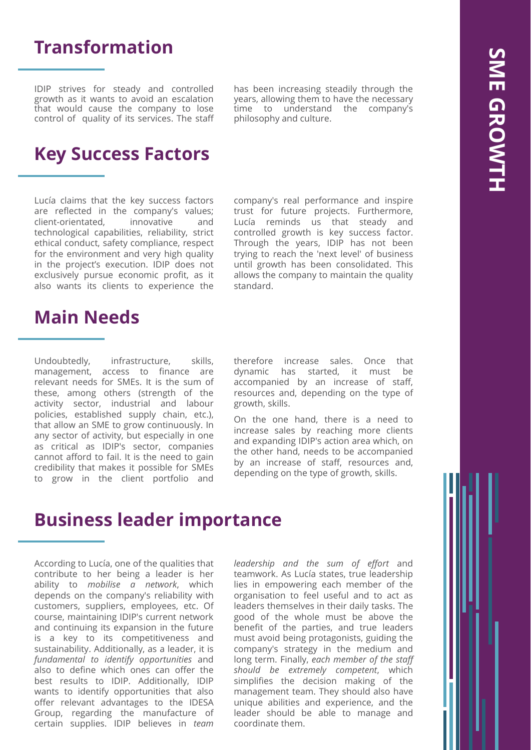#### **Transformation**

IDIP strives for steady and controlled growth as it wants to avoid an escalation that would cause the company to lose control of quality of its services. The staff

has been increasing steadily through the years, allowing them to have the necessary time to understand the company's philosophy and culture.

#### **Key Success Factors**

Lucía claims that the key success factors are reflected in the company's values; client-orientated, innovative and technological capabilities, reliability, strict ethical conduct, safety compliance, respect for the environment and very high quality in the project's execution. IDIP does not exclusively pursue economic profit, as it also wants its clients to experience the

## **Main Needs**

Undoubtedly, infrastructure, skills, management, access to finance are relevant needs for SMEs. It is the sum of these, among others (strength of the activity sector, industrial and labour policies, established supply chain, etc.), that allow an SME to grow continuously. In any sector of activity, but especially in one as critical as IDIP's sector, companies cannot afford to fail. It is the need to gain credibility that makes it possible for SMEs to grow in the client portfolio and company's real performance and inspire trust for future projects. Furthermore, Lucía reminds us that steady and controlled growth is key success factor. Through the years, IDIP has not been trying to reach the 'next level' of business until growth has been consolidated. This allows the company to maintain the quality standard.

therefore increase sales. Once that dynamic has started, it must be accompanied by an increase of staff, resources and, depending on the type of growth, skills.

On the one hand, there is a need to increase sales by reaching more clients and expanding IDIP's action area which, on the other hand, needs to be accompanied by an increase of staff, resources and, depending on the type of growth, skills.

#### **Business leader importance**

According to Lucía, one of the qualities that contribute to her being a leader is her ability to *mobilise a network*, which depends on the company's reliability with customers, suppliers, employees, etc. Of course, maintaining IDIP's current network and continuing its expansion in the future is a key to its competitiveness and sustainability. Additionally, as a leader, it is *fundamental to identify opportunities* and also to define which ones can offer the best results to IDIP. Additionally, IDIP wants to identify opportunities that also offer relevant advantages to the IDESA Group, regarding the manufacture of certain supplies. IDIP believes in *team* *leadership and the sum of effort* and teamwork. As Lucía states, true leadership lies in empowering each member of the organisation to feel useful and to act as leaders themselves in their daily tasks. The good of the whole must be above the benefit of the parties, and true leaders must avoid being protagonists, guiding the company's strategy in the medium and long term. Finally, *each member of the staff should be extremely competent*, which simplifies the decision making of the management team. They should also have unique abilities and experience, and the leader should be able to manage and coordinate them.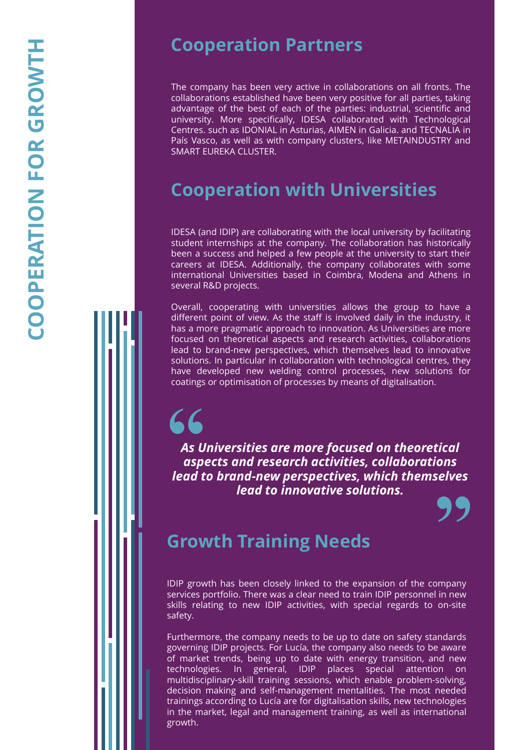#### **Cooperation Partners**

The company has been very active in collaborations on all fronts . The collaborations established have been very positive for all parties, taking advantage of the best of each of the parties : industrial, scientific and university . More specifically, IDESA collaborated with Technological Centres . such as IDONIAL in Asturias, AIMEN in Galicia . and TECNALIA in País Vasco, as well as with company clusters, like METAINDUSTRY and SMART EUREKA CLUSTER .

### **Cooperation with Universities**

IDESA (and IDIP) are collaborating with the local university by facilitating student internships at the company . The collaboration has historically been a success and helped a few people at the university to start their careers at IDESA . Additionally, the company collaborates with some international Universities based in Coimbra, Modena and Athens in several R&D projects .

Overall, cooperating with universities allows the group to have a different point of view . As the staff is involved daily in the industry, it has a more pragmatic approach to innovation . As Universities are more focused on theoretical aspects and research activities, collaborations lead to brand -new perspectives, which themselves lead to innovative solutions . In particular in collaboration with technological centres, they have developed new welding control processes, new solutions for coatings or optimisation of processes by means of digitalisation .

# **"**

*As Universities are more focused on theoretical aspects and research activities, collaborations lead to brand -new perspectives, which themselves lead to innovative solutions.* 



#### **Growth Training Needs**

IDIP growth has been closely linked to the expansion of the company services portfolio. There was a clear need to train IDIP personnel in new skills relating to new IDIP activities, with special regards to on -site safety .

Furthermore, the company needs to be up to date on safety standards governing IDIP projects . For Lucía, the company also needs to be aware of market trends, being up to date with energy transition, and new technologies In general, IDIP places special attention on multidisciplinary -skill training sessions, which enable problem -solving, decision making and self-management mentalities . The most needed trainings according to Lucía are for digitalisation skills, new technologies in the market, legal and management training, as well as international growth .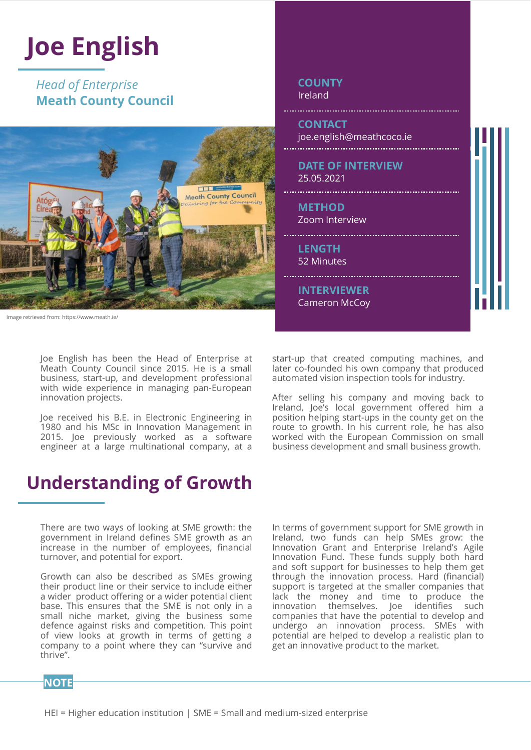#### **Joe English**  *Head of Enterprise* **COUNTY** Ireland **Meath County Council CONTACT** joe.english@meathcoco.ie **DATE OF INTERVIEW** 25.05.2021 **FIF** ..................... Meath County Council **METHOD** Zoom Interview **LENGTH** 52 Minutes **INTERVIEWER** Cameron McCoy Image retrieved from: https://www.meath.ie/

Joe English has been the Head of Enterprise at Meath County Council since 2015. He is a small business, start-up, and development professional with wide experience in managing pan-European innovation projects.

Joe received his B.E. in Electronic Engineering in 1980 and his MSc in Innovation Management in 2015. Joe previously worked as a software engineer at a large multinational company, at a

start-up that created computing machines, and later co-founded his own company that produced automated vision inspection tools for industry.

After selling his company and moving back to Ireland, Joe's local government offered him a position helping start-ups in the county get on the route to growth. In his current role, he has also worked with the European Commission on small business development and small business growth.

### **Understanding of Growth**

There are two ways of looking at SME growth: the government in Ireland defines SME growth as an increase in the number of employees, financial turnover, and potential for export.

Growth can also be described as SMEs growing their product line or their service to include either a wider product offering or a wider potential client base. This ensures that the SME is not only in a small niche market, giving the business some defence against risks and competition. This point of view looks at growth in terms of getting a company to a point where they can "survive and thrive".

In terms of government support for SME growth in Ireland, two funds can help SMEs grow: the Innovation Grant and Enterprise Ireland's Agile Innovation Fund. These funds supply both hard and soft support for businesses to help them get through the innovation process. Hard (financial) support is targeted at the smaller companies that lack the money and time to produce the innovation themselves. Joe identifies such companies that have the potential to develop and undergo an innovation process. SMEs with potential are helped to develop a realistic plan to get an innovative product to the market.

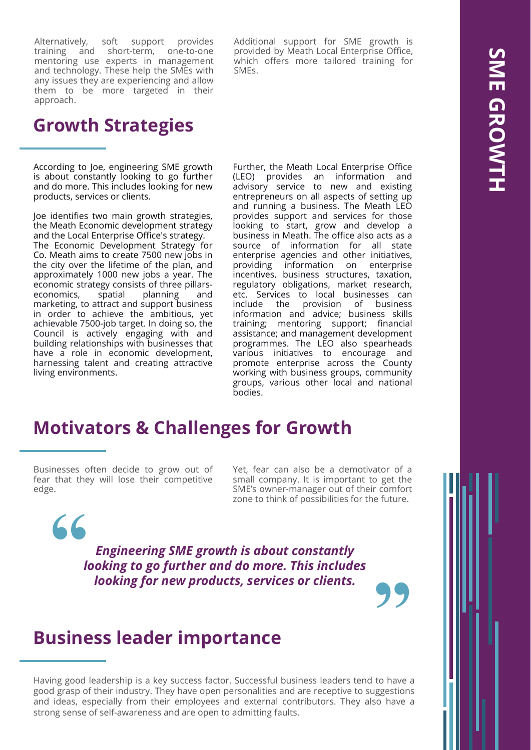Alternatively, soft support provides training and short-term, one-to-one mentoring use experts in management and technology. These help the SMEs with any issues they are experiencing and allow them to be more targeted in their approach.

#### **Growth Strategies**

According to Joe, engineering SME growth is about constantly looking to go further and do more. This includes looking for new products, services or clients.

Joe identifies two main growth strategies, the Meath Economic development strategy and the Local Enterprise Office's strategy. The Economic Development Strategy for Co. Meath aims to create 7500 new jobs in the city over the lifetime of the plan, and approximately 1000 new jobs a year. The economic strategy consists of three pillarseconomics, spatial planning and marketing, to attract and support business in order to achieve the ambitious, yet achievable 7500-job target. In doing so, the Council is actively engaging with and building relationships with businesses that have a role in economic development, harnessing talent and creating attractive living environments.

Additional support for SME growth is provided by Meath Local Enterprise Office, which offers more tailored training for SMEs.

Further, the Meath Local Enterprise Office (LEO) provides an information and advisory service to new and existing entrepreneurs on all aspects of setting up and running a business. The Meath LEO provides support and services for those looking to start, grow and develop a business in Meath. The office also acts as a source of information for all state enterprise agencies and other initiatives, providing information on enterprise incentives, business structures, taxation, regulatory obligations, market research, etc. Services to local businesses can include the provision of business information and advice; business skills training; mentoring support; financial assistance; and management development programmes. The LEO also spearheads various initiatives to encourage and promote enterprise across the County working with business groups, community groups, various other local and national bodies.

#### **Motivators & Challenges for Growth**

Businesses often decide to grow out of fear that they will lose their competitive edge.

**"**

Yet, fear can also be a demotivator of a small company. It is important to get the SME's owner-manager out of their comfort zone to think of possibilities for the future.

**"**

*Engineering SME growth is about constantly looking to go further and do more. This includes looking for new products, services or clients.*

#### **Business leader importance**

Having good leadership is a key success factor. Successful business leaders tend to have a good grasp of their industry. They have open personalities and are receptive to suggestions and ideas, especially from their employees and external contributors. They also have a strong sense of self-awareness and are open to admitting faults.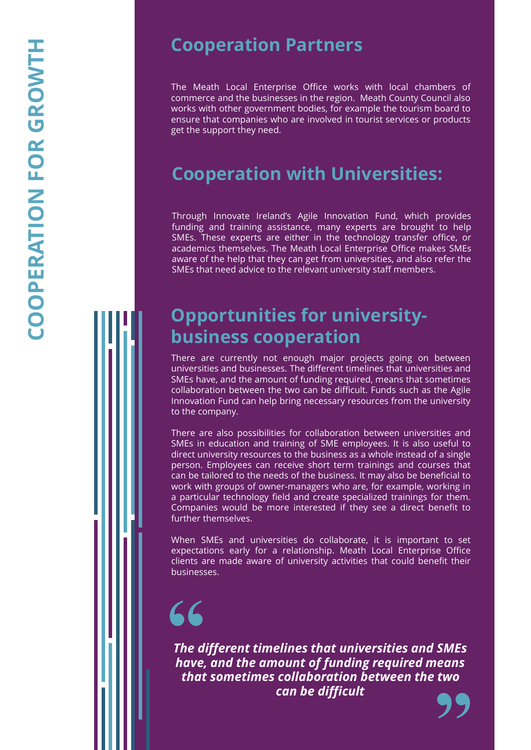#### **Cooperation Partners**

The Meath Local Enterprise Office works with local chambers of commerce and the businesses in the region . Meath County Council also works with other government bodies, for example the tourism board to ensure that companies who are involved in tourist services or products get the support they need .

### **Cooperation with Universities:**

Through Innovate Ireland's Agile Innovation Fund, which provides funding and training assistance, many experts are brought to help SMEs . These experts are either in the technology transfer office, or academics themselves . The Meath Local Enterprise Office makes SMEs aware of the help that they can get from universities, and also refer the SMEs that need advice to the relevant university staff members .

### **Opportunities for university business cooperation**

There are currently not enough major projects going on between universities and businesses . The different timelines that universities and SMEs have, and the amount of funding required, means that sometimes collaboration between the two can be difficult . Funds such as the Agile Innovation Fund can help bring necessary resources from the university to the company .

There are also possibilities for collaboration between universities and SMEs in education and training of SME employees . It is also useful to direct university resources to the business as a whole instead of a single person . Employees can receive short term trainings and courses that can be tailored to the needs of the business . It may also be beneficial to work with groups of owner -managers who are, for example, working in a particular technology field and create specialized trainings for them . Companies would be more interested if they see a direct benefit to further themselves .

When SMEs and universities do collaborate, it is important to set expectations early for a relationship. Meath Local Enterprise Office clients are made aware of university activities that could benefit their businesses .

# **"**

**"** *The different timelines that universities and SMEs have, and the amount of funding required means that sometimes collaboration between the two can be difficult*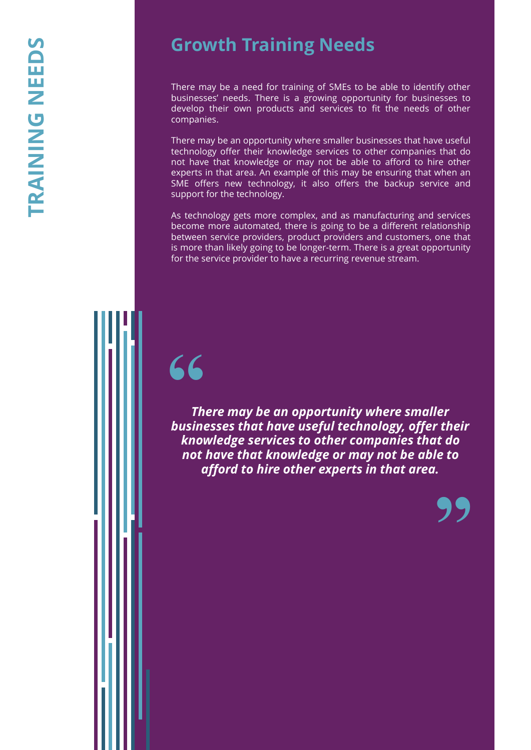### **Growth Training Needs**

There may be a need for training of SMEs to be able to identify other businesses' needs. There is a growing opportunity for businesses to develop their own products and services to fit the needs of other companies.

There may be an opportunity where smaller businesses that have useful technology offer their knowledge services to other companies that do not have that knowledge or may not be able to afford to hire other experts in that area. An example of this may be ensuring that when an SME offers new technology, it also offers the backup service and support for the technology.

As technology gets more complex, and as manufacturing and services become more automated, there is going to be a different relationship between service providers, product providers and customers, one that is more than likely going to be longer-term. There is a great opportunity for the service provider to have a recurring revenue stream.

# **"**

*There may be an opportunity where smaller businesses that have useful technology, offer their knowledge services to other companies that do not have that knowledge or may not be able to afford to hire other experts in that area.*

**"**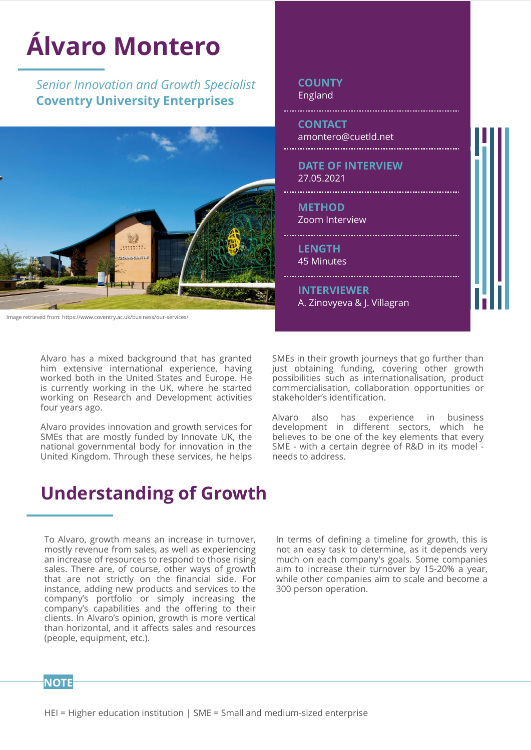

Alvaro has a mixed background that has granted him extensive international experience, having worked both in the United States and Europe. He is currently working in the UK, where he started working on Research and Development activities four years ago.

Alvaro provides innovation and growth services for SMEs that are mostly funded by Innovate UK, the national governmental body for innovation in the United Kingdom. Through these services, he helps

SMEs in their growth journeys that go further than just obtaining funding, covering other growth possibilities such as internationalisation, product commercialisation, collaboration opportunities or stakeholder's identification.

Alvaro also has experience in business development in different sectors, which he believes to be one of the key elements that every SME - with a certain degree of R&D in its model needs to address.

#### **Understanding of Growth**

To Alvaro, growth means an increase in turnover, mostly revenue from sales, as well as experiencing an increase of resources to respond to those rising sales. There are, of course, other ways of growth that are not strictly on the financial side. For instance, adding new products and services to the company's portfolio or simply increasing the company's capabilities and the offering to their clients. In Alvaro's opinion, growth is more vertical than horizontal, and it affects sales and resources (people, equipment, etc.).

In terms of defining a timeline for growth, this is not an easy task to determine, as it depends very much on each company's goals. Some companies aim to increase their turnover by 15-20% a year, while other companies aim to scale and become a 300 person operation.

**NOTE**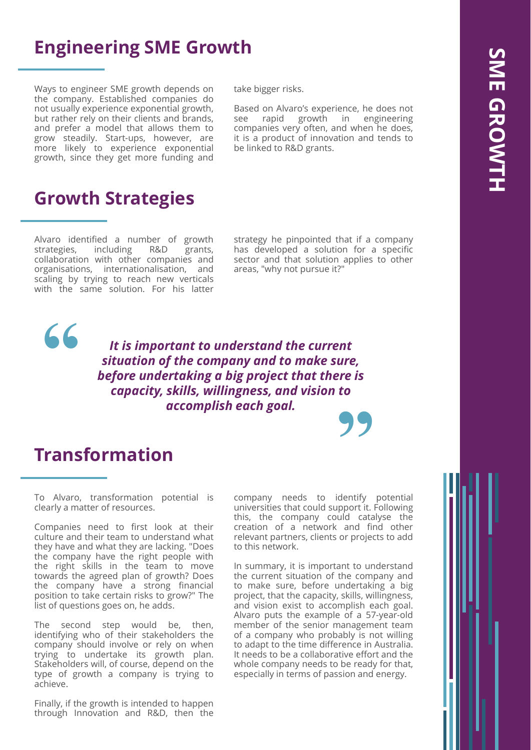#### **Engineering SME Growth**

Ways to engineer SME growth depends on the company. Established companies do not usually experience exponential growth, but rather rely on their clients and brands, and prefer a model that allows them to grow steadily. Start-ups, however, are more likely to experience exponential growth, since they get more funding and

#### **Growth Strategies**

Alvaro identified a number of growth strategies, including R&D grants, collaboration with other companies and organisations, internationalisation, and scaling by trying to reach new verticals with the same solution. For his latter take bigger risks.

Based on Alvaro's experience, he does not see rapid growth in engineering companies very often, and when he does, it is a product of innovation and tends to be linked to R&D grants.

strategy he pinpointed that if a company has developed a solution for a specific sector and that solution applies to other areas, "why not pursue it?"

**"** *It is important to understand the current situation of the company and to make sure, before undertaking a big project that there is capacity, skills, willingness, and vision to accomplish each goal.*

#### **Transformation**

**"**

To Alvaro, transformation potential is clearly a matter of resources.

Companies need to first look at their culture and their team to understand what they have and what they are lacking. "Does the company have the right people with the right skills in the team to move towards the agreed plan of growth? Does the company have a strong financial position to take certain risks to grow?" The list of questions goes on, he adds.

The second step would be, then, identifying who of their stakeholders the company should involve or rely on when trying to undertake its growth plan. Stakeholders will, of course, depend on the type of growth a company is trying to achieve.

Finally, if the growth is intended to happen through Innovation and R&D, then the company needs to identify potential universities that could support it. Following this, the company could catalyse the creation of a network and find other relevant partners, clients or projects to add to this network.

In summary, it is important to understand the current situation of the company and to make sure, before undertaking a big project, that the capacity, skills, willingness, and vision exist to accomplish each goal. Alvaro puts the example of a 57-year-old member of the senior management team of a company who probably is not willing to adapt to the time difference in Australia. It needs to be a collaborative effort and the whole company needs to be ready for that, especially in terms of passion and energy.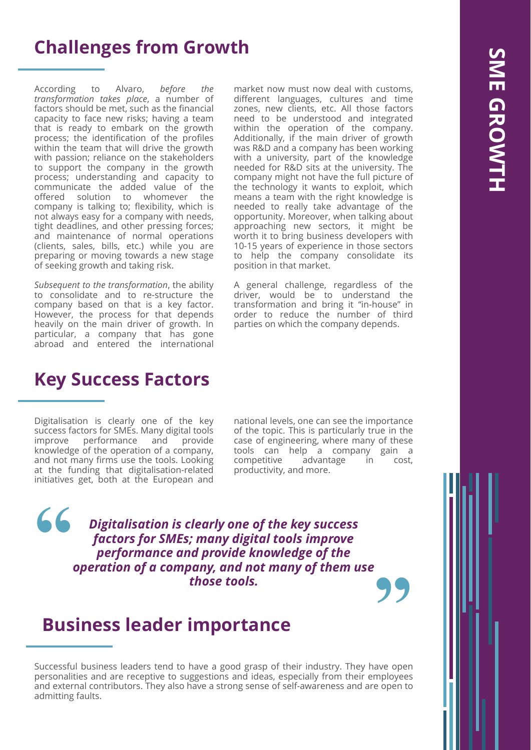#### **Challenges from Growth**

According to Alvaro, *before the transformation takes place*, a number of factors should be met, such as the financial capacity to face new risks; having a team that is ready to embark on the growth process; the identification of the profiles within the team that will drive the growth with passion; reliance on the stakeholders to support the company in the growth process; understanding and capacity to communicate the added value of the offered solution to whomever the company is talking to; flexibility, which is not always easy for a company with needs, tight deadlines, and other pressing forces; and maintenance of normal operations (clients, sales, bills, etc.) while you are preparing or moving towards a new stage of seeking growth and taking risk.

*Subsequent to the transformation*, the ability to consolidate and to re-structure the company based on that is a key factor. However, the process for that depends heavily on the main driver of growth. In particular, a company that has gone abroad and entered the international

market now must now deal with customs, different languages, cultures and time zones, new clients, etc. All those factors need to be understood and integrated within the operation of the company. Additionally, if the main driver of growth was R&D and a company has been working with a university, part of the knowledge needed for R&D sits at the university. The company might not have the full picture of the technology it wants to exploit, which means a team with the right knowledge is needed to really take advantage of the opportunity. Moreover, when talking about approaching new sectors, it might be worth it to bring business developers with 10-15 years of experience in those sectors to help the company consolidate its position in that market.

A general challenge, regardless of the driver, would be to understand the transformation and bring it "in-house" in order to reduce the number of third parties on which the company depends.

#### **Key Success Factors**

Digitalisation is clearly one of the key success factors for SMEs. Many digital tools improve performance and provide knowledge of the operation of a company, and not many firms use the tools. Looking at the funding that digitalisation-related initiatives get, both at the European and

national levels, one can see the importance of the topic. This is particularly true in the case of engineering, where many of these tools can help a company gain a competitive advantage in cost, productivity, and more.

**"** *Digitalisation is clearly one of the key success factors for SMEs; many digital tools improve performance and provide knowledge of the operation of a company, and not many of them use those tools.* **"**

#### **Business leader importance**

Successful business leaders tend to have a good grasp of their industry. They have open personalities and are receptive to suggestions and ideas, especially from their employees and external contributors. They also have a strong sense of self-awareness and are open to admitting faults.